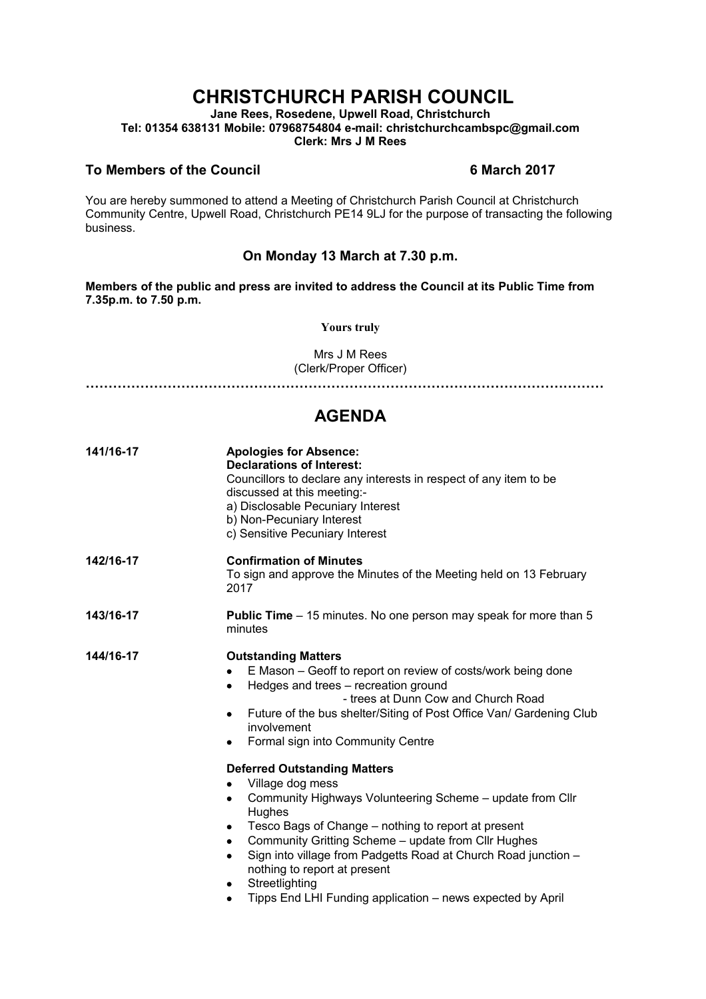## **CHRISTCHURCH PARISH COUNCIL**

**Jane Rees, Rosedene, Upwell Road, Christchurch Tel: 01354 638131 Mobile: 07968754804 e-mail: christchurchcambspc@gmail.com Clerk: Mrs J M Rees**

## **To Members of the Council 6 March 2017**

You are hereby summoned to attend a Meeting of Christchurch Parish Council at Christchurch Community Centre, Upwell Road, Christchurch PE14 9LJ for the purpose of transacting the following business.

## **On Monday 13 March at 7.30 p.m.**

**Members of the public and press are invited to address the Council at its Public Time from 7.35p.m. to 7.50 p.m.** 

**Yours truly**

Mrs J M Rees (Clerk/Proper Officer)

**……………………………………………………………………………………………………**

## **AGENDA**

| 141/16-17 | <b>Apologies for Absence:</b><br><b>Declarations of Interest:</b><br>Councillors to declare any interests in respect of any item to be<br>discussed at this meeting:-<br>a) Disclosable Pecuniary Interest<br>b) Non-Pecuniary Interest<br>c) Sensitive Pecuniary Interest                                                                                                                                                                                                                                                                                                                                                                                                                                                                                                                                |
|-----------|-----------------------------------------------------------------------------------------------------------------------------------------------------------------------------------------------------------------------------------------------------------------------------------------------------------------------------------------------------------------------------------------------------------------------------------------------------------------------------------------------------------------------------------------------------------------------------------------------------------------------------------------------------------------------------------------------------------------------------------------------------------------------------------------------------------|
| 142/16-17 | <b>Confirmation of Minutes</b><br>To sign and approve the Minutes of the Meeting held on 13 February<br>2017                                                                                                                                                                                                                                                                                                                                                                                                                                                                                                                                                                                                                                                                                              |
| 143/16-17 | <b>Public Time</b> – 15 minutes. No one person may speak for more than 5<br>minutes                                                                                                                                                                                                                                                                                                                                                                                                                                                                                                                                                                                                                                                                                                                       |
| 144/16-17 | <b>Outstanding Matters</b><br>E Mason - Geoff to report on review of costs/work being done<br>Hedges and trees - recreation ground<br>$\bullet$<br>- trees at Dunn Cow and Church Road<br>Future of the bus shelter/Siting of Post Office Van/ Gardening Club<br>involvement<br>Formal sign into Community Centre<br>٠<br><b>Deferred Outstanding Matters</b><br>Village dog mess<br>Community Highways Volunteering Scheme - update from Cllr<br>٠<br>Hughes<br>Tesco Bags of Change – nothing to report at present<br>Community Gritting Scheme - update from Cllr Hughes<br>$\bullet$<br>Sign into village from Padgetts Road at Church Road junction -<br>$\bullet$<br>nothing to report at present<br>Streetlighting<br>٠<br>Tipps End LHI Funding application - news expected by April<br>$\bullet$ |